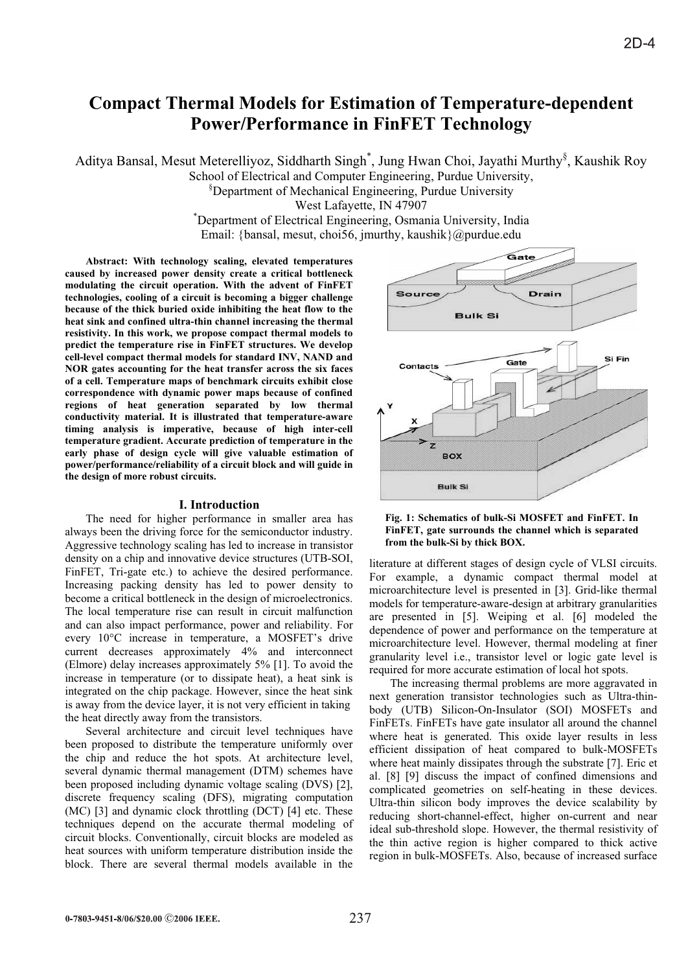# **Compact Thermal Models for Estimation of Temperature-dependent Power/Performance in FinFET Technology**

Aditya Bansal, Mesut Meterelliyoz, Siddharth Singh<sup>\*</sup>, Jung Hwan Choi, Jayathi Murthy<sup>§</sup>, Kaushik Roy School of Electrical and Computer Engineering, Purdue University,

§ Department of Mechanical Engineering, Purdue University

West Lafayette, IN 47907 \* Department of Electrical Engineering, Osmania University, India Email: {bansal, mesut, choi56, jmurthy, kaushik}@purdue.edu

**Abstract: With technology scaling, elevated temperatures caused by increased power density create a critical bottleneck modulating the circuit operation. With the advent of FinFET technologies, cooling of a circuit is becoming a bigger challenge because of the thick buried oxide inhibiting the heat flow to the heat sink and confined ultra-thin channel increasing the thermal resistivity. In this work, we propose compact thermal models to predict the temperature rise in FinFET structures. We develop cell-level compact thermal models for standard INV, NAND and NOR gates accounting for the heat transfer across the six faces of a cell. Temperature maps of benchmark circuits exhibit close correspondence with dynamic power maps because of confined regions of heat generation separated by low thermal conductivity material. It is illustrated that temperature-aware timing analysis is imperative, because of high inter-cell temperature gradient. Accurate prediction of temperature in the early phase of design cycle will give valuable estimation of power/performance/reliability of a circuit block and will guide in the design of more robust circuits.**

## **I. Introduction**

The need for higher performance in smaller area has always been the driving force for the semiconductor industry. Aggressive technology scaling has led to increase in transistor density on a chip and innovative device structures (UTB-SOI, FinFET, Tri-gate etc.) to achieve the desired performance. Increasing packing density has led to power density to become a critical bottleneck in the design of microelectronics. The local temperature rise can result in circuit malfunction and can also impact performance, power and reliability. For every 10°C increase in temperature, a MOSFET's drive current decreases approximately 4% and interconnect (Elmore) delay increases approximately 5% [1]. To avoid the increase in temperature (or to dissipate heat), a heat sink is integrated on the chip package. However, since the heat sink is away from the device layer, it is not very efficient in taking the heat directly away from the transistors.

Several architecture and circuit level techniques have been proposed to distribute the temperature uniformly over the chip and reduce the hot spots. At architecture level, several dynamic thermal management (DTM) schemes have been proposed including dynamic voltage scaling (DVS) [2], discrete frequency scaling (DFS), migrating computation (MC) [3] and dynamic clock throttling (DCT) [4] etc. These techniques depend on the accurate thermal modeling of circuit blocks. Conventionally, circuit blocks are modeled as heat sources with uniform temperature distribution inside the block. There are several thermal models available in the



**Fig. 1: Schematics of bulk-Si MOSFET and FinFET. In FinFET, gate surrounds the channel which is separated from the bulk-Si by thick BOX.**

literature at different stages of design cycle of VLSI circuits. For example, a dynamic compact thermal model at microarchitecture level is presented in [3]. Grid-like thermal models for temperature-aware-design at arbitrary granularities are presented in [5]. Weiping et al. [6] modeled the dependence of power and performance on the temperature at microarchitecture level. However, thermal modeling at finer granularity level i.e., transistor level or logic gate level is required for more accurate estimation of local hot spots.

The increasing thermal problems are more aggravated in next generation transistor technologies such as Ultra-thinbody (UTB) Silicon-On-Insulator (SOI) MOSFETs and FinFETs. FinFETs have gate insulator all around the channel where heat is generated. This oxide layer results in less efficient dissipation of heat compared to bulk-MOSFETs where heat mainly dissipates through the substrate [7]. Eric et al. [8] [9] discuss the impact of confined dimensions and complicated geometries on self-heating in these devices. Ultra-thin silicon body improves the device scalability by reducing short-channel-effect, higher on-current and near ideal sub-threshold slope. However, the thermal resistivity of the thin active region is higher compared to thick active region in bulk-MOSFETs. Also, because of increased surface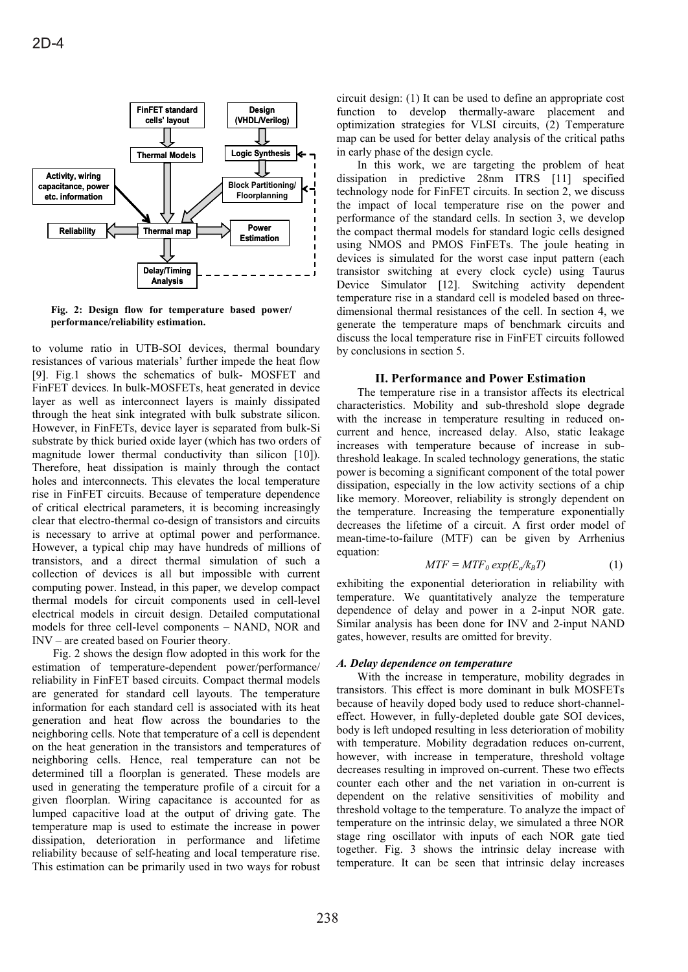

**Fig. 2: Design flow for temperature based power/ performance/reliability estimation.**

to volume ratio in UTB-SOI devices, thermal boundary resistances of various materials' further impede the heat flow [9]. Fig.1 shows the schematics of bulk- MOSFET and FinFET devices. In bulk-MOSFETs, heat generated in device layer as well as interconnect layers is mainly dissipated through the heat sink integrated with bulk substrate silicon. However, in FinFETs, device layer is separated from bulk-Si substrate by thick buried oxide layer (which has two orders of magnitude lower thermal conductivity than silicon [10]). Therefore, heat dissipation is mainly through the contact holes and interconnects. This elevates the local temperature rise in FinFET circuits. Because of temperature dependence of critical electrical parameters, it is becoming increasingly clear that electro-thermal co-design of transistors and circuits is necessary to arrive at optimal power and performance. However, a typical chip may have hundreds of millions of transistors, and a direct thermal simulation of such a collection of devices is all but impossible with current computing power. Instead, in this paper, we develop compact thermal models for circuit components used in cell-level electrical models in circuit design. Detailed computational models for three cell-level components – NAND, NOR and INV – are created based on Fourier theory.

Fig. 2 shows the design flow adopted in this work for the estimation of temperature-dependent power/performance/ reliability in FinFET based circuits. Compact thermal models are generated for standard cell layouts. The temperature information for each standard cell is associated with its heat generation and heat flow across the boundaries to the neighboring cells. Note that temperature of a cell is dependent on the heat generation in the transistors and temperatures of neighboring cells. Hence, real temperature can not be determined till a floorplan is generated. These models are used in generating the temperature profile of a circuit for a given floorplan. Wiring capacitance is accounted for as lumped capacitive load at the output of driving gate. The temperature map is used to estimate the increase in power dissipation, deterioration in performance and lifetime reliability because of self-heating and local temperature rise. This estimation can be primarily used in two ways for robust circuit design: (1) It can be used to define an appropriate cost function to develop thermally-aware placement and optimization strategies for VLSI circuits, (2) Temperature map can be used for better delay analysis of the critical paths in early phase of the design cycle.

In this work, we are targeting the problem of heat dissipation in predictive 28nm ITRS [11] specified technology node for FinFET circuits. In section 2, we discuss the impact of local temperature rise on the power and performance of the standard cells. In section 3, we develop the compact thermal models for standard logic cells designed using NMOS and PMOS FinFETs. The joule heating in devices is simulated for the worst case input pattern (each transistor switching at every clock cycle) using Taurus Device Simulator [12]. Switching activity dependent temperature rise in a standard cell is modeled based on threedimensional thermal resistances of the cell. In section 4, we generate the temperature maps of benchmark circuits and discuss the local temperature rise in FinFET circuits followed by conclusions in section 5.

# **II. Performance and Power Estimation**

The temperature rise in a transistor affects its electrical characteristics. Mobility and sub-threshold slope degrade with the increase in temperature resulting in reduced oncurrent and hence, increased delay. Also, static leakage increases with temperature because of increase in subthreshold leakage. In scaled technology generations, the static power is becoming a significant component of the total power dissipation, especially in the low activity sections of a chip like memory. Moreover, reliability is strongly dependent on the temperature. Increasing the temperature exponentially decreases the lifetime of a circuit. A first order model of mean-time-to-failure (MTF) can be given by Arrhenius equation:

$$
MTF = MTF_0 \exp(E_a/k_B T) \tag{1}
$$

exhibiting the exponential deterioration in reliability with temperature. We quantitatively analyze the temperature dependence of delay and power in a 2-input NOR gate. Similar analysis has been done for INV and 2-input NAND gates, however, results are omitted for brevity.

## *A. Delay dependence on temperature*

With the increase in temperature, mobility degrades in transistors. This effect is more dominant in bulk MOSFETs because of heavily doped body used to reduce short-channeleffect. However, in fully-depleted double gate SOI devices, body is left undoped resulting in less deterioration of mobility with temperature. Mobility degradation reduces on-current, however, with increase in temperature, threshold voltage decreases resulting in improved on-current. These two effects counter each other and the net variation in on-current is dependent on the relative sensitivities of mobility and threshold voltage to the temperature. To analyze the impact of temperature on the intrinsic delay, we simulated a three NOR stage ring oscillator with inputs of each NOR gate tied together. Fig. 3 shows the intrinsic delay increase with temperature. It can be seen that intrinsic delay increases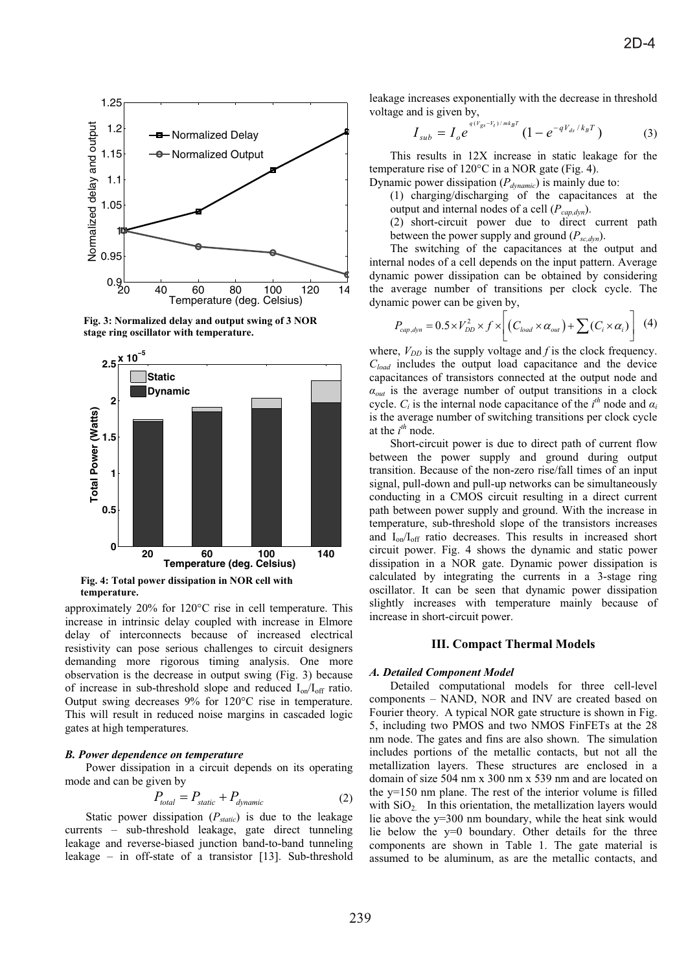

**Fig. 3: Normalized delay and output swing of 3 NOR**  stage ring oscillator with temperature.



**temperature.**

approximately 20% for 120°C rise in cell temperature. This increase in intrinsic delay coupled with increase in Elmore delay of interconnects because of increased electrical resistivity can pose serious challenges to circuit designers demanding more rigorous timing analysis. One more observation is the decrease in output swing (Fig. 3) because of increase in sub-threshold slope and reduced  $I_{on}/I_{off}$  ratio. Output swing decreases 9% for 120°C rise in temperature. This will result in reduced noise margins in cascaded logic gates at high temperatures.

# *B. Power dependence on temperature*

Power dissipation in a circuit depends on its operating mode and can be given by

$$
P_{total} = P_{static} + P_{dynamic}
$$
 (2)

Static power dissipation ( $P_{static}$ ) is due to the leakage currents – sub-threshold leakage, gate direct tunneling leakage and reverse-biased junction band-to-band tunneling leakage – in off-state of a transistor [13]. Sub-threshold

leakage increases exponentially with the decrease in threshold voltage and is given by,

$$
I_{sub} = I_o e^{q(V_{gs} - V_t)/mk_B T} (1 - e^{-qV_{ds}/k_B T})
$$
 (3)

This results in 12X increase in static leakage for the temperature rise of 120°C in a NOR gate (Fig. 4).

Dynamic power dissipation (*Pdynamic*) is mainly due to:

(1) charging/discharging of the capacitances at the output and internal nodes of a cell  $(P_{cap, dyn})$ .

(2) short-circuit power due to direct current path between the power supply and ground  $(P_{sc,dyn})$ .

The switching of the capacitances at the output and internal nodes of a cell depends on the input pattern. Average dynamic power dissipation can be obtained by considering the average number of transitions per clock cycle. The dynamic power can be given by,

$$
P_{cap,dyn} = 0.5 \times V_{DD}^2 \times f \times \left[ \left( C_{load} \times \alpha_{out} \right) + \sum_{i} \left( C_i \times \alpha_i \right) \right] \tag{4}
$$

where,  $V_{DD}$  is the supply voltage and  $f$  is the clock frequency. *Cload* includes the output load capacitance and the device capacitances of transistors connected at the output node and  $a_{out}$  is the average number of output transitions in a clock cycle.  $C_i$  is the internal node capacitance of the  $i^{th}$  node and  $\alpha_i$ is the average number of switching transitions per clock cycle at the  $i^{th}$  node.

Short-circuit power is due to direct path of current flow between the power supply and ground during output transition. Because of the non-zero rise/fall times of an input signal, pull-down and pull-up networks can be simultaneously conducting in a CMOS circuit resulting in a direct current path between power supply and ground. With the increase in temperature, sub-threshold slope of the transistors increases and  $I_{on}/I_{off}$  ratio decreases. This results in increased short circuit power. Fig. 4 shows the dynamic and static power dissipation in a NOR gate. Dynamic power dissipation is calculated by integrating the currents in a 3-stage ring oscillator. It can be seen that dynamic power dissipation slightly increases with temperature mainly because of increase in short-circuit power.

## **III. Compact Thermal Models**

#### *A. Detailed Component Model*

Detailed computational models for three cell-level components – NAND, NOR and INV are created based on Fourier theory. A typical NOR gate structure is shown in Fig. 5, including two PMOS and two NMOS FinFETs at the 28 nm node. The gates and fins are also shown. The simulation includes portions of the metallic contacts, but not all the metallization layers. These structures are enclosed in a domain of size 504 nm x 300 nm x 539 nm and are located on the y=150 nm plane. The rest of the interior volume is filled with  $SiO<sub>2</sub>$ . In this orientation, the metallization layers would lie above the y=300 nm boundary, while the heat sink would lie below the y=0 boundary. Other details for the three components are shown in Table 1. The gate material is assumed to be aluminum, as are the metallic contacts, and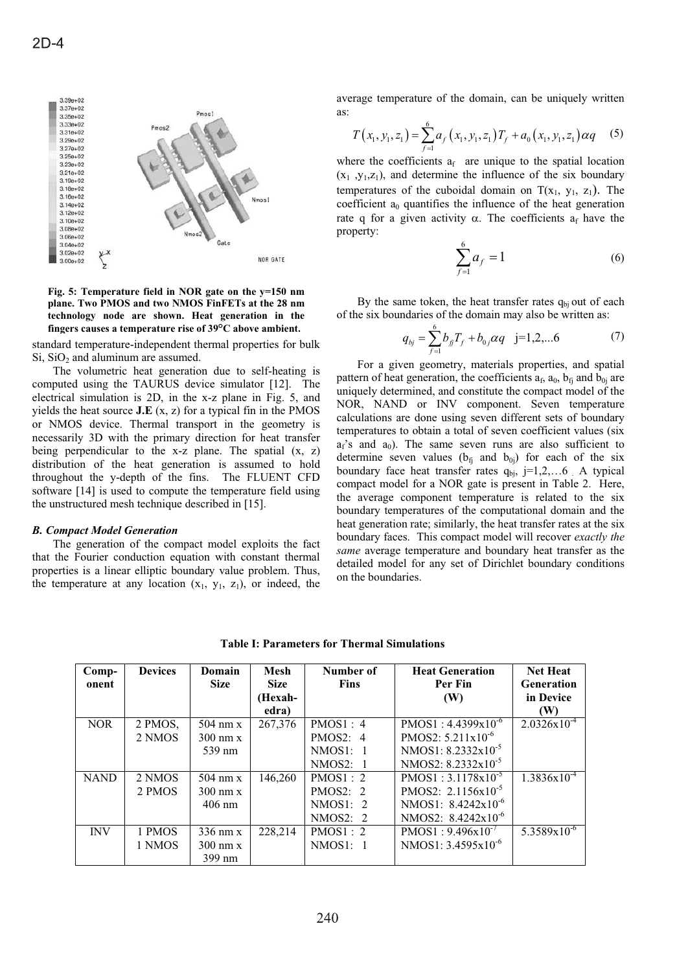

**Fig. 5: Temperature field in NOR gate on the y=150 nm plane. Two PMOS and two NMOS FinFETs at the 28 nm technology node are shown. Heat generation in the fingers causes a temperature rise of 39°C above ambient.**

standard temperature-independent thermal properties for bulk  $Si$ ,  $SiO<sub>2</sub>$  and aluminum are assumed.

The volumetric heat generation due to self-heating is computed using the TAURUS device simulator [12]. The electrical simulation is 2D, in the x-z plane in Fig. 5, and yields the heat source **J.E** (x, z) for a typical fin in the PMOS or NMOS device. Thermal transport in the geometry is necessarily 3D with the primary direction for heat transfer being perpendicular to the x-z plane. The spatial  $(x, z)$ distribution of the heat generation is assumed to hold throughout the y-depth of the fins. The FLUENT CFD software [14] is used to compute the temperature field using the unstructured mesh technique described in [15].

## *B. Compact Model Generation*

The generation of the compact model exploits the fact that the Fourier conduction equation with constant thermal properties is a linear elliptic boundary value problem. Thus, the temperature at any location  $(x_1, y_1, z_1)$ , or indeed, the average temperature of the domain, can be uniquely written as:

$$
T(x_1, y_1, z_1) = \sum_{f=1}^{6} a_f(x_1, y_1, z_1) T_f + a_0(x_1, y_1, z_1) \alpha q \quad (5)
$$

where the coefficients  $a_f$  are unique to the spatial location  $(x_1, y_1, z_1)$ , and determine the influence of the six boundary temperatures of the cuboidal domain on  $T(x_1, y_1, z_1)$ . The coefficient  $a_0$  quantifies the influence of the heat generation rate q for a given activity  $\alpha$ . The coefficients  $a_f$  have the property:

$$
\sum_{f=1}^{6} a_f = 1
$$
 (6)

By the same token, the heat transfer rates  $q_{bi}$  out of each of the six boundaries of the domain may also be written as:

$$
q_{bj} = \sum_{f=1}^{6} b_{f} T_f + b_{0f} \alpha q \quad j=1,2,...6 \tag{7}
$$

For a given geometry, materials properties, and spatial pattern of heat generation, the coefficients  $a_f$ ,  $a_0$ ,  $b_f$  and  $b_{0i}$  are uniquely determined, and constitute the compact model of the NOR, NAND or INV component. Seven temperature calculations are done using seven different sets of boundary temperatures to obtain a total of seven coefficient values (six  $a_f$ 's and  $a_0$ ). The same seven runs are also sufficient to determine seven values ( $b_{f_i}$  and  $b_{0i}$ ) for each of the six boundary face heat transfer rates  $q_{bi}$ , j=1,2,...6 . A typical compact model for a NOR gate is present in Table 2. Here, the average component temperature is related to the six boundary temperatures of the computational domain and the heat generation rate; similarly, the heat transfer rates at the six boundary faces. This compact model will recover *exactly the same* average temperature and boundary heat transfer as the detailed model for any set of Dirichlet boundary conditions on the boundaries.

| Comp-<br>onent | <b>Devices</b> | Domain<br><b>Size</b>   | <b>Mesh</b><br><b>Size</b> | Number of<br><b>Fins</b> | <b>Heat Generation</b><br>Per Fin | <b>Net Heat</b><br><b>Generation</b> |
|----------------|----------------|-------------------------|----------------------------|--------------------------|-----------------------------------|--------------------------------------|
|                |                |                         | (Hexah-                    |                          | (W)                               | in Device                            |
|                |                |                         | edra)                      |                          |                                   | (W)                                  |
| <b>NOR</b>     | 2 PMOS,        | $504 \text{ nm} \times$ | 267,376                    | PMOS1:4                  | $PMOS1: 4.4399x10^{-6}$           | $2.0326x10^{-4}$                     |
|                | 2 NMOS         | $300 \text{ nm} \times$ |                            | PMOS2: 4                 | PMOS2: $5.211x10^{-6}$            |                                      |
|                |                | 539 nm                  |                            | NMOS1: 1                 | NMOS1: $8.2332x10^{-5}$           |                                      |
|                |                |                         |                            | NMOS2:<br>$\overline{1}$ | NMOS2: $8.2332x10^{-5}$           |                                      |
| <b>NAND</b>    | 2 NMOS         | $504 \text{ nm} \times$ | 146,260                    | PMOS1:2                  | $PMOS1: 3.1178x10^{-5}$           | $1.3836x10^{-4}$                     |
|                | 2 PMOS         | $300 \text{ nm} \times$ |                            | PMOS2: 2                 | PMOS2: $2.1156x10^{-5}$           |                                      |
|                |                | $406$ nm                |                            | NMOS1: 2                 | NMOS1: $8.4242 \times 10^{-6}$    |                                      |
|                |                |                         |                            | NMOS2: 2                 | NMOS2: $8.4242x10^{-6}$           |                                      |
| <b>INV</b>     | 1 PMOS         | $336$ nm x              | 228,214                    | PMOS1:2                  | $PMOS1:9.496x10^{-7}$             | $5.3589 \times 10^{-6}$              |
|                | 1 NMOS         | $300 \text{ nm} \times$ |                            | NMOS1: 1                 | NMOS1: $3.4595x10^{-6}$           |                                      |
|                |                | 399 nm                  |                            |                          |                                   |                                      |

**Table I: Parameters for Thermal Simulations**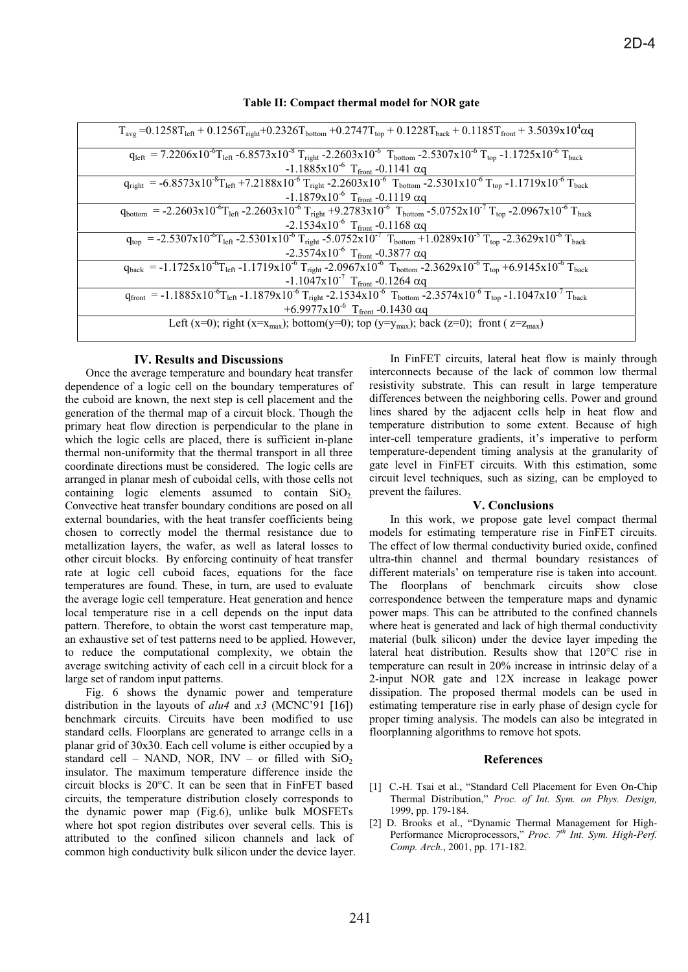| $T_{avg}$ =0.1258 $T_{left}$ + 0.1256 $T_{right}$ +0.2326 $T_{bottom}$ +0.2747 $T_{top}$ + 0.1228 $T_{back}$ + 0.1185 $T_{front}$ + 3.5039x10 <sup>4</sup> $\alpha$ q                                                                             |
|---------------------------------------------------------------------------------------------------------------------------------------------------------------------------------------------------------------------------------------------------|
| $q_{left} = 7.2206x10^{-6}T_{left} - 6.8573x10^{-8}T_{right} - 2.2603x10^{-6}T_{bottom} - 2.5307x10^{-6}T_{top} - 1.1725x10^{-6}T_{back}$                                                                                                         |
| $-1.1885x10^{-6}$ T <sub>front</sub> -0.1141 $\alpha$ q                                                                                                                                                                                           |
| $q_{\text{right}} = -6.8573 \times 10^{-8} T_{\text{left}} + 7.2188 \times 10^{-6} T_{\text{right}} - 2.2603 \times 10^{-6} T_{\text{bottom}} - 2.5301 \times 10^{-6} T_{\text{top}} - 1.1719 \times 10^{-6} T_{\text{back}}$                     |
| $-1.1879 \times 10^{-6}$ T <sub>front</sub> -0.1119 $\alpha q$                                                                                                                                                                                    |
| $q_{bottom} = -2.2603 \times 10^{-6} T_{left} - 2.2603 \times 10^{-6} T_{right} + 9.2783 \times 10^{-6} T_{bottom} - 5.0752 \times 10^{-7} T_{top} - 2.0967 \times 10^{-6} T_{back}$                                                              |
| $-2.1534 \times 10^{-6}$ T <sub>front</sub> -0.1168 $\alpha q$                                                                                                                                                                                    |
| $\overline{q_{top}}$ = -2.5307x10 <sup>-6</sup> T <sub>left</sub> -2.5301x10 <sup>-6</sup> T <sub>right</sub> -5.0752x10 <sup>-7</sup> T <sub>bottom</sub> +1.0289x10 <sup>-5</sup> T <sub>top</sub> -2.3629x10 <sup>-6</sup> T <sub>back</sub>   |
| -2.3574x10 <sup>-6</sup> T <sub>front</sub> -0.3877 $\alpha$ q                                                                                                                                                                                    |
| $q_{back} = -1.1725x10^{-6}T_{left} -1.1719x10^{-6}T_{right} - 2.0967x10^{-6}T_{bottom} - 2.3629x10^{-6}T_{top} + 6.9145x10^{-6}T_{back}$                                                                                                         |
| $-1.1047 \times 10^{-7}$ T <sub>front</sub> -0.1264 $\alpha q$                                                                                                                                                                                    |
| $\overline{q_{front}}$ = -1.1885x10 <sup>-6</sup> T <sub>left</sub> -1.1879x10 <sup>-6</sup> T <sub>right</sub> -2.1534x10 <sup>-6</sup> T <sub>bottom</sub> -2.3574x10 <sup>-6</sup> T <sub>top</sub> -1.1047x10 <sup>-7</sup> T <sub>back</sub> |
| +6.9977x10 <sup>-6</sup> T <sub>front</sub> -0.1430 $\alpha$ q                                                                                                                                                                                    |
| Left (x=0); right (x=x <sub>max</sub> ); bottom(y=0); top (y=y <sub>max</sub> ); back (z=0); front (z=z <sub>max</sub> )                                                                                                                          |
|                                                                                                                                                                                                                                                   |

## **Table II: Compact thermal model for NOR gate**

# **IV. Results and Discussions**

Once the average temperature and boundary heat transfer dependence of a logic cell on the boundary temperatures of the cuboid are known, the next step is cell placement and the generation of the thermal map of a circuit block. Though the primary heat flow direction is perpendicular to the plane in which the logic cells are placed, there is sufficient in-plane thermal non-uniformity that the thermal transport in all three coordinate directions must be considered. The logic cells are arranged in planar mesh of cuboidal cells, with those cells not containing logic elements assumed to contain  $SiO<sub>2</sub>$ . Convective heat transfer boundary conditions are posed on all external boundaries, with the heat transfer coefficients being chosen to correctly model the thermal resistance due to metallization layers, the wafer, as well as lateral losses to other circuit blocks. By enforcing continuity of heat transfer rate at logic cell cuboid faces, equations for the face temperatures are found. These, in turn, are used to evaluate the average logic cell temperature. Heat generation and hence local temperature rise in a cell depends on the input data pattern. Therefore, to obtain the worst cast temperature map, an exhaustive set of test patterns need to be applied. However, to reduce the computational complexity, we obtain the average switching activity of each cell in a circuit block for a large set of random input patterns.

Fig. 6 shows the dynamic power and temperature distribution in the layouts of *alu4* and *x3* (MCNC'91 [16]) benchmark circuits. Circuits have been modified to use standard cells. Floorplans are generated to arrange cells in a planar grid of 30x30. Each cell volume is either occupied by a standard cell – NAND, NOR, INV – or filled with  $SiO<sub>2</sub>$ insulator. The maximum temperature difference inside the circuit blocks is 20°C. It can be seen that in FinFET based circuits, the temperature distribution closely corresponds to the dynamic power map (Fig.6), unlike bulk MOSFETs where hot spot region distributes over several cells. This is attributed to the confined silicon channels and lack of common high conductivity bulk silicon under the device layer.

In FinFET circuits, lateral heat flow is mainly through interconnects because of the lack of common low thermal resistivity substrate. This can result in large temperature differences between the neighboring cells. Power and ground lines shared by the adjacent cells help in heat flow and temperature distribution to some extent. Because of high inter-cell temperature gradients, it's imperative to perform temperature-dependent timing analysis at the granularity of gate level in FinFET circuits. With this estimation, some circuit level techniques, such as sizing, can be employed to prevent the failures.

## **V. Conclusions**

In this work, we propose gate level compact thermal models for estimating temperature rise in FinFET circuits. The effect of low thermal conductivity buried oxide, confined ultra-thin channel and thermal boundary resistances of different materials' on temperature rise is taken into account. The floorplans of benchmark circuits show close correspondence between the temperature maps and dynamic power maps. This can be attributed to the confined channels where heat is generated and lack of high thermal conductivity material (bulk silicon) under the device layer impeding the lateral heat distribution. Results show that 120°C rise in temperature can result in 20% increase in intrinsic delay of a 2-input NOR gate and 12X increase in leakage power dissipation. The proposed thermal models can be used in estimating temperature rise in early phase of design cycle for proper timing analysis. The models can also be integrated in floorplanning algorithms to remove hot spots.

## **References**

- [1] C.-H. Tsai et al., "Standard Cell Placement for Even On-Chip Thermal Distribution," *Proc. of Int. Sym. on Phys. Design,* 1999, pp. 179-184.
- [2] D. Brooks et al., "Dynamic Thermal Management for High-Performance Microprocessors," Proc. 7<sup>th</sup> Int. Sym. High-Perf. *Comp. Arch.*, 2001, pp. 171-182.